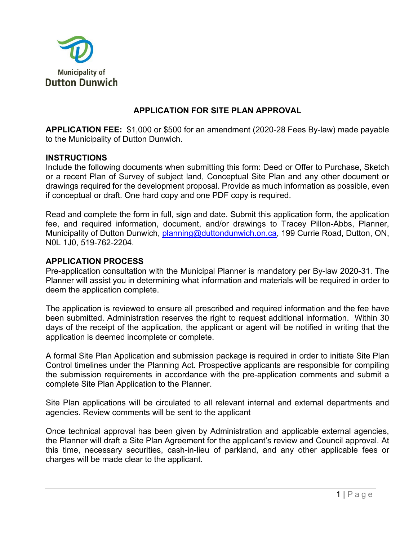

# **APPLICATION FOR SITE PLAN APPROVAL**

**APPLICATION FEE:** \$1,000 or \$500 for an amendment (2020-28 Fees By-law) made payable to the Municipality of Dutton Dunwich.

#### **INSTRUCTIONS**

Include the following documents when submitting this form: Deed or Offer to Purchase, Sketch or a recent Plan of Survey of subject land, Conceptual Site Plan and any other document or drawings required for the development proposal. Provide as much information as possible, even if conceptual or draft. One hard copy and one PDF copy is required.

Read and complete the form in full, sign and date. Submit this application form, the application fee, and required information, document, and/or drawings to Tracey Pillon-Abbs, Planner, Municipality of Dutton Dunwich, planning@duttondunwich.on.ca, 199 Currie Road, Dutton, ON, N0L 1J0, 519-762-2204.

#### **APPLICATION PROCESS**

Pre-application consultation with the Municipal Planner is mandatory per By-law 2020-31. The Planner will assist you in determining what information and materials will be required in order to deem the application complete.

The application is reviewed to ensure all prescribed and required information and the fee have been submitted. Administration reserves the right to request additional information. Within 30 days of the receipt of the application, the applicant or agent will be notified in writing that the application is deemed incomplete or complete.

A formal Site Plan Application and submission package is required in order to initiate Site Plan Control timelines under the Planning Act. Prospective applicants are responsible for compiling the submission requirements in accordance with the pre-application comments and submit a complete Site Plan Application to the Planner.

Site Plan applications will be circulated to all relevant internal and external departments and agencies. Review comments will be sent to the applicant

Once technical approval has been given by Administration and applicable external agencies, the Planner will draft a Site Plan Agreement for the applicant's review and Council approval. At this time, necessary securities, cash-in-lieu of parkland, and any other applicable fees or charges will be made clear to the applicant.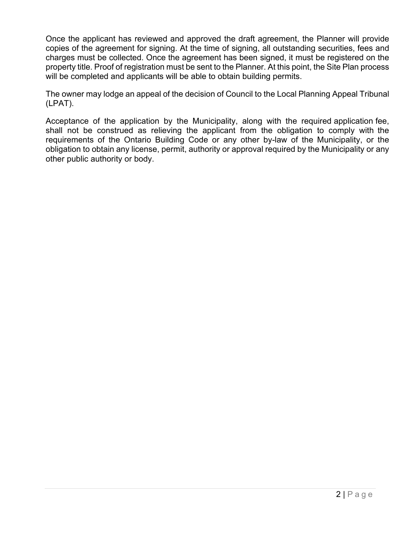Once the applicant has reviewed and approved the draft agreement, the Planner will provide copies of the agreement for signing. At the time of signing, all outstanding securities, fees and charges must be collected. Once the agreement has been signed, it must be registered on the property title. Proof of registration must be sent to the Planner. At this point, the Site Plan process will be completed and applicants will be able to obtain building permits.

The owner may lodge an appeal of the decision of Council to the Local Planning Appeal Tribunal (LPAT).

Acceptance of the application by the Municipality, along with the required application fee, shall not be construed as relieving the applicant from the obligation to comply with the requirements of the Ontario Building Code or any other by-law of the Municipality, or the obligation to obtain any license, permit, authority or approval required by the Municipality or any other public authority or body.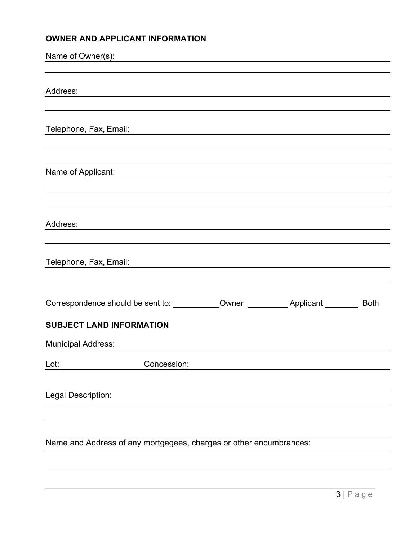# **OWNER AND APPLICANT INFORMATION**

| Name of Owner(s):                                                  | <u> 1989 - John Stein, Amerikaansk politiker (</u> |  |             |
|--------------------------------------------------------------------|----------------------------------------------------|--|-------------|
| Address:                                                           |                                                    |  |             |
| Telephone, Fax, Email:                                             |                                                    |  |             |
| Name of Applicant:                                                 |                                                    |  |             |
|                                                                    |                                                    |  |             |
| Address:                                                           |                                                    |  |             |
| Telephone, Fax, Email:                                             |                                                    |  |             |
|                                                                    |                                                    |  | <b>Both</b> |
| <b>SUBJECT LAND INFORMATION</b>                                    |                                                    |  |             |
| <b>Municipal Address:</b>                                          |                                                    |  |             |
| Lot:                                                               | Concession:                                        |  |             |
| Legal Description:                                                 |                                                    |  |             |
| Name and Address of any mortgagees, charges or other encumbrances: |                                                    |  |             |
|                                                                    |                                                    |  |             |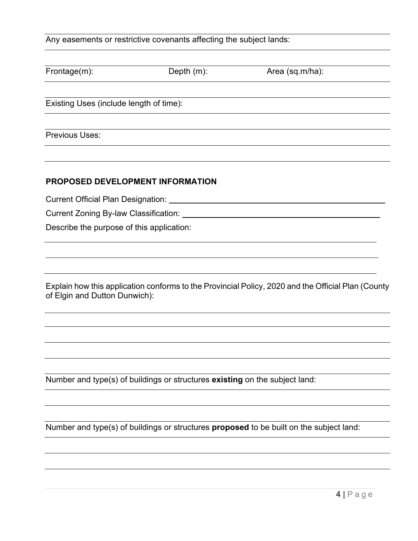Any easements or restrictive covenants affecting the subject lands:

| Frontage(m):                            | Depth $(m)$ : | Area (sq.m/ha): |  |
|-----------------------------------------|---------------|-----------------|--|
| Existing Uses (include length of time): |               |                 |  |
|                                         |               |                 |  |
| Previous Uses:                          |               |                 |  |
|                                         |               |                 |  |

#### **PROPOSED DEVELOPMENT INFORMATION**

Current Official Plan Designation:

Current Zoning By-law Classification:

Describe the purpose of this application:

Explain how this application conforms to the Provincial Policy, 2020 and the Official Plan (County of Elgin and Dutton Dunwich):

Number and type(s) of buildings or structures **existing** on the subject land:

Number and type(s) of buildings or structures **proposed** to be built on the subject land: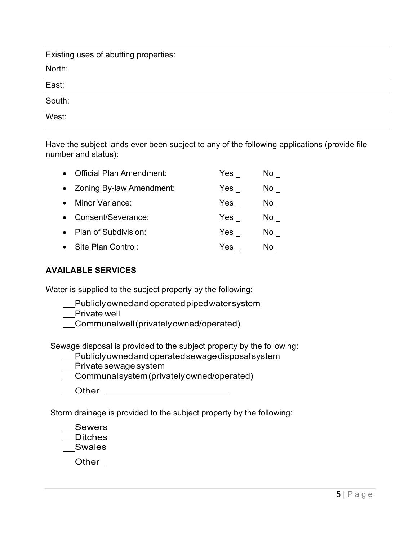| Existing uses of abutting properties: |  |  |
|---------------------------------------|--|--|
| North:                                |  |  |
| East:                                 |  |  |
| South:                                |  |  |
| West:                                 |  |  |

Have the subject lands ever been subject to any of the following applications (provide file number and status):

| <b>Official Plan Amendment:</b> | Yes | No l |
|---------------------------------|-----|------|
| • Zoning By-law Amendment:      | Yes | No l |
| Minor Variance:                 | Yes | No l |
| Consent/Severance:              | Yes | No l |
| Plan of Subdivision:            | Yes | No l |
| Site Plan Control:              | Yes | No.  |

# **AVAILABLE SERVICES**

Water is supplied to the subject property by the following:

- Publicly owned and operated piped water system
- \_\_Private well
- Communal well (privately owned/operated)

Sewage disposal is provided to the subject property by the following:

- Publicly owned and operated sewage disposal system
- Private sewage system
- Communal system (privately owned/operated)
- Other

Storm drainage is provided to the subject property by the following:

\_\_Sewers

\_\_Ditches

Swales

Other **Communist Communist Communist Communist Communist Communist Communist Communist Communist Communist Communist Communist Communist Communist Communist Communist Communist Communist Communist Communist Communist Commu**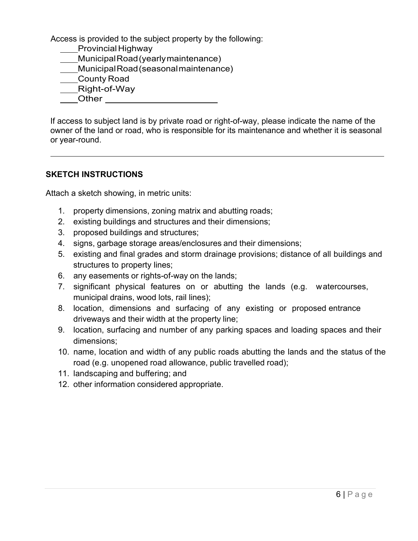Access is provided to the subject property by the following: ss is provided to the su<br><u>Provincial Highway</u><br>Munisinal Read (us

- 
- \_\_Provincial Highway<br>\_\_Municipal Road (yearly maintenance)
- Municipal Road (seasonal maintenance)
- County Road
- \_\_Municipal Road<br>\_\_County Road<br>\_\_Right-of-Way \_\_County<br>\_\_Right-∈<br>\_\_Other
- 

If access to subject land is by private road or right-of-way, please indicate the name of the owner of the land or road, who is responsible for its maintenance and whether it is seasonal or year-round.

#### **SKETCH INSTRUCTIONS**

Attach a sketch showing, in metric units:

- 1. property dimensions, zoning matrix and abutting roads;
- 2. existing buildings and structures and their dimensions;
- 3. proposed buildings and structures;
- 4. signs, garbage storage areas/enclosures and their dimensions;
- 5. existing and final grades and storm drainage provisions; distance of all buildings and structures to property lines;
- 6. any easements or rights-of-way on the lands;
- 7. significant physical features on or abutting the lands (e.g. watercourses, municipal drains, wood lots, rail lines);
- 8. location, dimensions and surfacing of any existing or proposed entrance driveways and their width at the property line;
- 9. location, surfacing and number of any parking spaces and loading spaces and their dimensions;
- 10. name, location and width of any public roads abutting the lands and the status of the road (e.g. unopened road allowance, public travelled road);
- 11. landscaping and buffering; and
- 12. other information considered appropriate.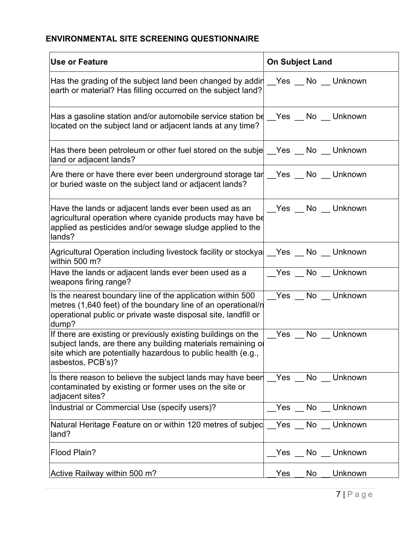# **ENVIRONMENTAL SITE SCREENING QUESTIONNAIRE**

| Use or Feature                                                                                                                                                                                                     | <b>On Subject Land</b> |  |  |
|--------------------------------------------------------------------------------------------------------------------------------------------------------------------------------------------------------------------|------------------------|--|--|
| Has the grading of the subject land been changed by addir $\sqrt{ }$ Yes $\sqrt{ }$ No $\sqrt{ }$ Unknown<br>earth or material? Has filling occurred on the subject land?                                          |                        |  |  |
| Has a gasoline station and/or automobile service station be __Yes __ No __ Unknown<br>located on the subject land or adjacent lands at any time?                                                                   |                        |  |  |
| Has there been petroleum or other fuel stored on the subje $\sqrt{ }$ Yes $\sqrt{ }$ No $\sqrt{ }$ Unknown<br>land or adjacent lands?                                                                              |                        |  |  |
| Are there or have there ever been underground storage tar $\_\$ Yes $\_\$ No $\_\$ Unknown<br>or buried waste on the subject land or adjacent lands?                                                               |                        |  |  |
| Have the lands or adjacent lands ever been used as an<br>agricultural operation where cyanide products may have be<br>applied as pesticides and/or sewage sludge applied to the<br>lands?                          | Yes No Unknown         |  |  |
| Agricultural Operation including livestock facility or stockya   Yes _ No _ Unknown<br>within 500 m?                                                                                                               |                        |  |  |
| Have the lands or adjacent lands ever been used as a<br>weapons firing range?                                                                                                                                      | _Yes _ No _ Unknown    |  |  |
| Is the nearest boundary line of the application within 500<br>metres (1,640 feet) of the boundary line of an operational/n<br>operational public or private waste disposal site, landfill or<br>dump?              | _Yes _ No _ Unknown    |  |  |
| If there are existing or previously existing buildings on the<br>subject lands, are there any building materials remaining of<br>site which are potentially hazardous to public health (e.g.,<br>asbestos, PCB's)? | Yes No Unknown         |  |  |
| Is there reason to believe the subject lands may have been Yes No Unknown<br>contaminated by existing or former uses on the site or<br>adjacent sites?                                                             |                        |  |  |
| Industrial or Commercial Use (specify users)?                                                                                                                                                                      | Yes _ No _ Unknown     |  |  |
| Natural Heritage Feature on or within 120 metres of subjec <u>Yes No Junknown</u><br>land?                                                                                                                         |                        |  |  |
| Flood Plain?                                                                                                                                                                                                       | Yes No Unknown         |  |  |
| Active Railway within 500 m?                                                                                                                                                                                       | Unknown<br>Yes<br>No   |  |  |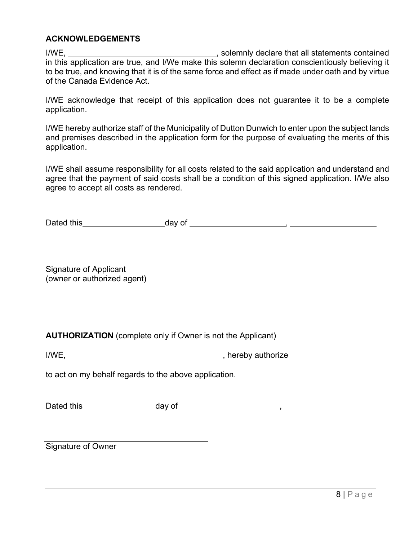### **ACKNOWLEDGEMENTS**

I/WE, 1/WE, 2008 and 2009 and 2009 with the solemnly declare that all statements contained in this application are true, and I/We make this solemn declaration conscientiously believing it to be true, and knowing that it is of the same force and effect as if made under oath and by virtue of the Canada Evidence Act.

I/WE acknowledge that receipt of this application does not guarantee it to be a complete application.

I/WE hereby authorize staff of the Municipality of Dutton Dunwich to enter upon the subject lands and premises described in the application form for the purpose of evaluating the merits of this application.

I/WE shall assume responsibility for all costs related to the said application and understand and agree that the payment of said costs shall be a condition of this signed application. I/We also agree to accept all costs as rendered.

Dated this day of ,

Signature of Applicant (owner or authorized agent)

**AUTHORIZATION** (complete only if Owner is not the Applicant)

I/WE, , hereby authorize

to act on my behalf regards to the above application.

Dated this day of ,

Signature of Owner